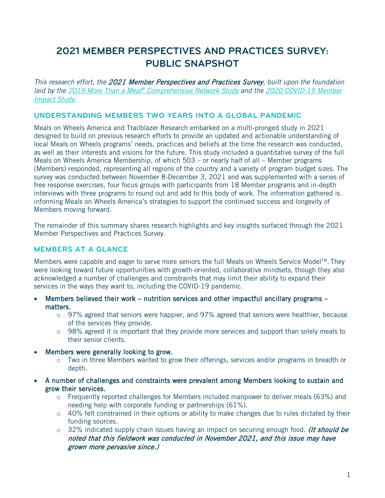# **2021 MEMBER PERSPECTIVES AND PRACTICES SURVEY: PUBLIC SNAPSHOT**

*This research effort, the* 2021 Member Perspectives and Practices Survey*, built upon the foundation laid by the 2019 More Than a Meal® [Comprehensive Network Study](https://www.mealsonwheelsamerica.org/learn-more/research/more-than-a-meal/comprehensive-network-study) and the [2020 COVID-19 Member](https://www.mealsonwheelsamerica.org/docs/default-source/covid-19/research/covid-19-member-impact-report_executive-summary_final.pdf?sfvrsn=89fb13b_2)  [Impact Study.](https://www.mealsonwheelsamerica.org/docs/default-source/covid-19/research/covid-19-member-impact-report_executive-summary_final.pdf?sfvrsn=89fb13b_2)*

# **UNDERSTANDING MEMBERS TWO YEARS INTO A GLOBAL PANDEMIC**

Meals on Wheels America and Trailblazer Research embarked on a multi-pronged study in 2021 designed to build on previous research efforts to provide an updated and actionable understanding of local Meals on Wheels programs' needs, practices and beliefs at the time the research was conducted, as well as their interests and visions for the future. This study included a quantitative survey of the full Meals on Wheels America Membership, of which 503 – or nearly half of all – Member programs (Members) responded, representing all regions of the country and a variety of program budget sizes. The survey was conducted between November 8-December 3, 2021 and was supplemented with a series of free response exercises, four focus groups with participants from 18 Member programs and in-depth interviews with three programs to round out and add to this body of work. The information gathered is informing Meals on Wheels America's strategies to support the continued success and longevity of Members moving forward.

The remainder of this summary shares research highlights and key insights surfaced through the 2021 Member Perspectives and Practices Survey.

# **MEMBERS AT A GLANCE**

Members were capable and eager to serve more seniors the full Meals on Wheels Service Model™. They were looking toward future opportunities with growth-oriented, collaborative mindsets, though they also acknowledged a number of challenges and constraints that may limit their ability to expand their services in the ways they want to, including the COVID-19 pandemic.

- Members believed their work nutrition services and other impactful ancillary programs matters.
	- o 97% agreed that seniors were happier, and 97% agreed that seniors were healthier, because of the services they provide.
	- $\circ$  98% agreed it is important that they provide more services and support than solely meals to their senior clients.
- Members were generally looking to grow.
	- o Two in three Members wanted to grow their offerings, services and/or programs in breadth or depth.
- A number of challenges and constraints were prevalent among Members looking to sustain and grow their services.
	- o Frequently reported challenges for Members included manpower to deliver meals (63%) and needing help with corporate funding or partnerships (61%).
	- $\circ$  40% felt constrained in their options or ability to make changes due to rules dictated by their funding sources.
	- $\circ$  32% indicated supply chain issues having an impact on securing enough food. *(It should be* noted that this fieldwork was conducted in November 2021, and this issue may have grown more pervasive since.)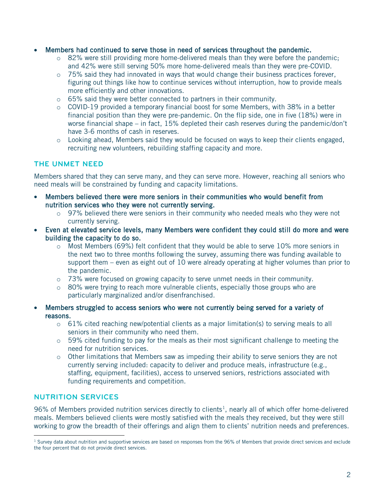- Members had continued to serve those in need of services throughout the pandemic.
	- $\circ$  82% were still providing more home-delivered meals than they were before the pandemic; and 42% were still serving 50% more home-delivered meals than they were pre-COVID.
	- $\circ$  75% said they had innovated in ways that would change their business practices forever, figuring out things like how to continue services without interruption, how to provide meals more efficiently and other innovations.
	- o 65% said they were better connected to partners in their community.
	- $\circ$  COVID-19 provided a temporary financial boost for some Members, with 38% in a better financial position than they were pre-pandemic. On the flip side, one in five (18%) were in worse financial shape – in fact, 15% depleted their cash reserves during the pandemic/don't have 3-6 months of cash in reserves.
	- $\circ$  Looking ahead, Members said they would be focused on ways to keep their clients engaged, recruiting new volunteers, rebuilding staffing capacity and more.

# **THE UNMET NEED**

Members shared that they can serve many, and they can serve more. However, reaching all seniors who need meals will be constrained by funding and capacity limitations.

- Members believed there were more seniors in their communities who would benefit from nutrition services who they were not currently serving.
	- $\circ$  97% believed there were seniors in their community who needed meals who they were not currently serving.
- Even at elevated service levels, many Members were confident they could still do more and were building the capacity to do so.
	- $\circ$  Most Members (69%) felt confident that they would be able to serve 10% more seniors in the next two to three months following the survey, assuming there was funding available to support them – even as eight out of 10 were already operating at higher volumes than prior to the pandemic.
	- $\circ$  73% were focused on growing capacity to serve unmet needs in their community.
	- o 80% were trying to reach more vulnerable clients, especially those groups who are particularly marginalized and/or disenfranchised.
- Members struggled to access seniors who were not currently being served for a variety of reasons.
	- $\circ$  61% cited reaching new/potential clients as a major limitation(s) to serving meals to all seniors in their community who need them.
	- $\circ$  59% cited funding to pay for the meals as their most significant challenge to meeting the need for nutrition services.
	- $\circ$  Other limitations that Members saw as impeding their ability to serve seniors they are not currently serving included: capacity to deliver and produce meals, infrastructure (e.g., staffing, equipment, facilities), access to unserved seniors, restrictions associated with funding requirements and competition.

# **NUTRITION SERVICES**

96% of Members provided nutrition services directly to clients<sup>1</sup>, nearly all of which offer home-delivered meals. Members believed clients were mostly satisfied with the meals they received, but they were still working to grow the breadth of their offerings and align them to clients' nutrition needs and preferences.

<span id="page-1-0"></span><sup>&</sup>lt;sup>1</sup> Survey data about nutrition and supportive services are based on responses from the 96% of Members that provide direct services and exclude the four percent that do not provide direct services.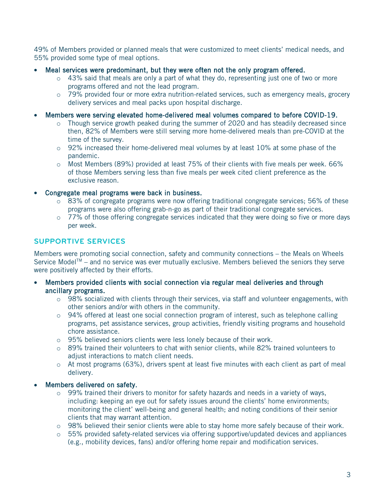49% of Members provided or planned meals that were customized to meet clients' medical needs, and 55% provided some type of meal options.

- Meal services were predominant, but they were often not the only program offered.
	- $\circ$  43% said that meals are only a part of what they do, representing just one of two or more programs offered and not the lead program.
	- $\circ$  79% provided four or more extra nutrition-related services, such as emergency meals, grocery delivery services and meal packs upon hospital discharge.
- Members were serving elevated home-delivered meal volumes compared to before COVID-19.
	- $\circ$  Though service growth peaked during the summer of 2020 and has steadily decreased since then, 82% of Members were still serving more home-delivered meals than pre-COVID at the time of the survey.
	- $\circ$  92% increased their home-delivered meal volumes by at least 10% at some phase of the pandemic.
	- o Most Members (89%) provided at least 75% of their clients with five meals per week. 66% of those Members serving less than five meals per week cited client preference as the exclusive reason.
- Congregate meal programs were back in business.
	- $\circ$  83% of congregate programs were now offering traditional congregate services; 56% of these programs were also offering grab-n-go as part of their traditional congregate services.
	- $\circ$  77% of those offering congregate services indicated that they were doing so five or more days per week.

## **SUPPORTIVE SERVICES**

Members were promoting social connection, safety and community connections – the Meals on Wheels Service Model<sup>TM</sup> – and no service was ever mutually exclusive. Members believed the seniors they serve were positively affected by their efforts.

- Members provided clients with social connection via regular meal deliveries and through ancillary programs.
	- $\circ$  98% socialized with clients through their services, via staff and volunteer engagements, with other seniors and/or with others in the community.
	- $\circ$  94% offered at least one social connection program of interest, such as telephone calling programs, pet assistance services, group activities, friendly visiting programs and household chore assistance.
	- o 95% believed seniors clients were less lonely because of their work.
	- o 89% trained their volunteers to chat with senior clients, while 82% trained volunteers to adjust interactions to match client needs.
	- $\circ$  At most programs (63%), drivers spent at least five minutes with each client as part of meal delivery.

#### Members delivered on safety.

- $\circ$  99% trained their drivers to monitor for safety hazards and needs in a variety of ways, including: keeping an eye out for safety issues around the clients' home environments; monitoring the client' well-being and general health; and noting conditions of their senior clients that may warrant attention.
- o 98% believed their senior clients were able to stay home more safely because of their work.
- $\circ$  55% provided safety-related services via offering supportive/updated devices and appliances (e.g., mobility devices, fans) and/or offering home repair and modification services.